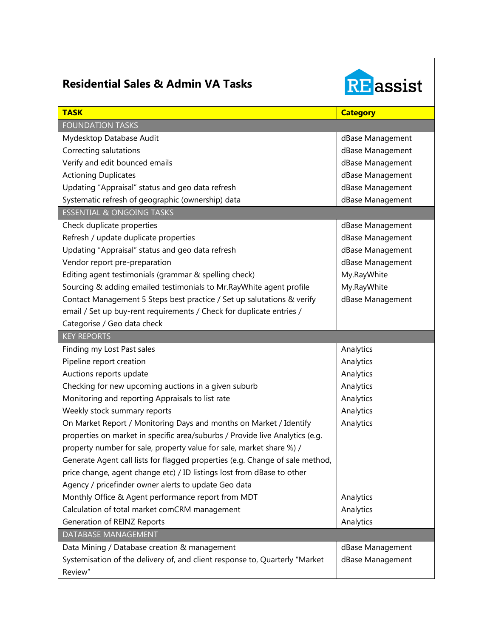## **Residential Sales & Admin VA Tasks**



| <b>TASK</b>                                                                   | <b>Category</b>  |
|-------------------------------------------------------------------------------|------------------|
| <b>FOUNDATION TASKS</b>                                                       |                  |
| Mydesktop Database Audit                                                      | dBase Management |
| Correcting salutations                                                        | dBase Management |
| Verify and edit bounced emails                                                | dBase Management |
| <b>Actioning Duplicates</b>                                                   | dBase Management |
| Updating "Appraisal" status and geo data refresh                              | dBase Management |
| Systematic refresh of geographic (ownership) data                             | dBase Management |
| <b>ESSENTIAL &amp; ONGOING TASKS</b>                                          |                  |
| Check duplicate properties                                                    | dBase Management |
| Refresh / update duplicate properties                                         | dBase Management |
| Updating "Appraisal" status and geo data refresh                              | dBase Management |
| Vendor report pre-preparation                                                 | dBase Management |
| Editing agent testimonials (grammar & spelling check)                         | My.RayWhite      |
| Sourcing & adding emailed testimonials to Mr. Ray White agent profile         | My.RayWhite      |
| Contact Management 5 Steps best practice / Set up salutations & verify        | dBase Management |
| email / Set up buy-rent requirements / Check for duplicate entries /          |                  |
| Categorise / Geo data check                                                   |                  |
| <b>KEY REPORTS</b>                                                            |                  |
| Finding my Lost Past sales                                                    | Analytics        |
| Pipeline report creation                                                      | Analytics        |
| Auctions reports update                                                       | Analytics        |
| Checking for new upcoming auctions in a given suburb                          | Analytics        |
| Monitoring and reporting Appraisals to list rate                              | Analytics        |
| Weekly stock summary reports                                                  | Analytics        |
| On Market Report / Monitoring Days and months on Market / Identify            | Analytics        |
| properties on market in specific area/suburbs / Provide live Analytics (e.g.  |                  |
| property number for sale, property value for sale, market share %) /          |                  |
| Generate Agent call lists for flagged properties (e.g. Change of sale method, |                  |
| price change, agent change etc) / ID listings lost from dBase to other        |                  |
| Agency / pricefinder owner alerts to update Geo data                          |                  |
| Monthly Office & Agent performance report from MDT                            | Analytics        |
| Calculation of total market comCRM management                                 | Analytics        |
| Generation of REINZ Reports                                                   | Analytics        |
| DATABASE MANAGEMENT                                                           |                  |
| Data Mining / Database creation & management                                  | dBase Management |
| Systemisation of the delivery of, and client response to, Quarterly "Market   | dBase Management |
| Review"                                                                       |                  |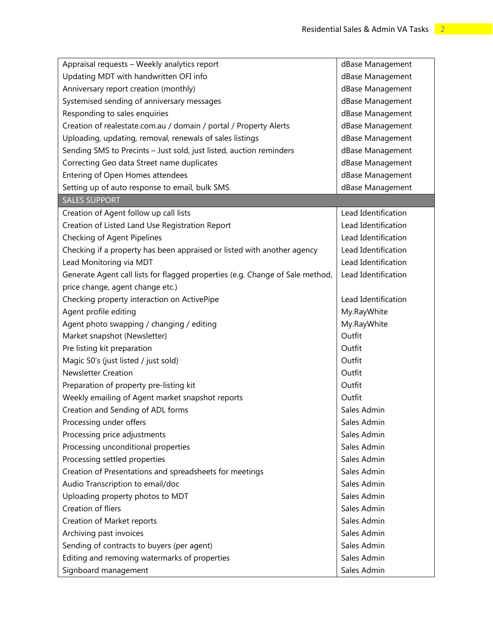| Appraisal requests - Weekly analytics report                                  | dBase Management    |
|-------------------------------------------------------------------------------|---------------------|
| Updating MDT with handwritten OFI info                                        | dBase Management    |
| Anniversary report creation (monthly)                                         | dBase Management    |
| Systemised sending of anniversary messages                                    | dBase Management    |
| Responding to sales enquiries                                                 | dBase Management    |
| Creation of realestate.com.au / domain / portal / Property Alerts             | dBase Management    |
| Uploading, updating, removal, renewals of sales listings                      | dBase Management    |
| Sending SMS to Precints - Just sold, just listed, auction reminders           | dBase Management    |
| Correcting Geo data Street name duplicates                                    | dBase Management    |
| Entering of Open Homes attendees                                              | dBase Management    |
| Setting up of auto response to email, bulk SMS                                | dBase Management    |
| <b>SALES SUPPORT</b>                                                          |                     |
| Creation of Agent follow up call lists                                        | Lead Identification |
| Creation of Listed Land Use Registration Report                               | Lead Identification |
| Checking of Agent Pipelines                                                   | Lead Identification |
| Checking if a property has been appraised or listed with another agency       | Lead Identification |
| Lead Monitoring via MDT                                                       | Lead Identification |
| Generate Agent call lists for flagged properties (e.g. Change of Sale method, | Lead Identification |
| price change, agent change etc.)                                              |                     |
| Checking property interaction on ActivePipe                                   | Lead Identification |
| Agent profile editing                                                         | My.RayWhite         |
| Agent photo swapping / changing / editing                                     | My.RayWhite         |
| Market snapshot (Newsletter)                                                  | Outfit              |
| Pre listing kit preparation                                                   | Outfit              |
| Magic 50's (just listed / just sold)                                          | Outfit              |
| <b>Newsletter Creation</b>                                                    | Outfit              |
| Preparation of property pre-listing kit                                       | Outfit              |
| Weekly emailing of Agent market snapshot reports                              | Outfit              |
| Creation and Sending of ADL forms                                             | Sales Admin         |
| Processing under offers                                                       | Sales Admin         |
| Processing price adjustments                                                  | Sales Admin         |
| Processing unconditional properties                                           | Sales Admin         |
| Processing settled properties                                                 | Sales Admin         |
| Creation of Presentations and spreadsheets for meetings                       | Sales Admin         |
| Audio Transcription to email/doc                                              | Sales Admin         |
| Uploading property photos to MDT                                              | Sales Admin         |
| Creation of fliers                                                            | Sales Admin         |
| Creation of Market reports                                                    | Sales Admin         |
| Archiving past invoices                                                       | Sales Admin         |
| Sending of contracts to buyers (per agent)                                    | Sales Admin         |
| Editing and removing watermarks of properties                                 | Sales Admin         |
| Signboard management                                                          | Sales Admin         |